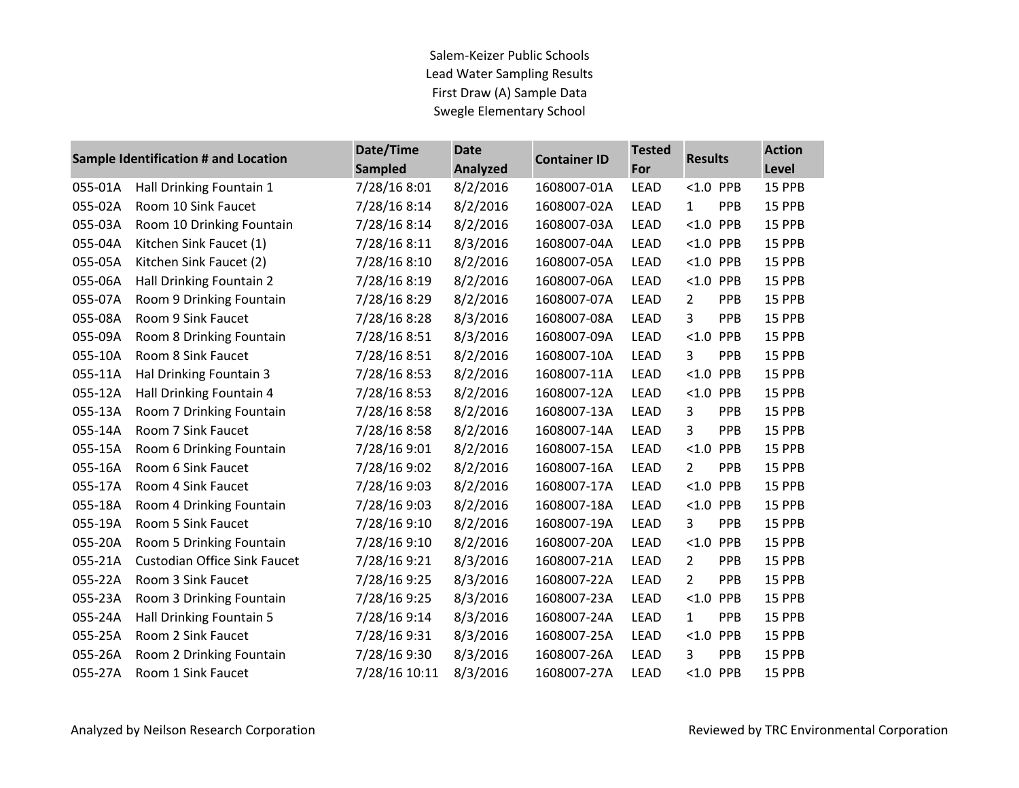Salem-Keizer Public Schools Lead Water Sampling Results First Draw (A) Sample Data Swegle Elementary School

|         | Sample Identification # and Location | Date/Time<br><b>Sampled</b> | <b>Date</b><br><b>Analyzed</b> | <b>Container ID</b> | <b>Tested</b><br>For | <b>Results</b>               | <b>Action</b><br>Level |
|---------|--------------------------------------|-----------------------------|--------------------------------|---------------------|----------------------|------------------------------|------------------------|
| 055-01A | Hall Drinking Fountain 1             | 7/28/16 8:01                | 8/2/2016                       | 1608007-01A         | <b>LEAD</b>          | $< 1.0$ PPB                  | 15 PPB                 |
| 055-02A | Room 10 Sink Faucet                  | 7/28/16 8:14                | 8/2/2016                       | 1608007-02A         | <b>LEAD</b>          | PPB<br>$\mathbf{1}$          | 15 PPB                 |
| 055-03A | Room 10 Drinking Fountain            | 7/28/16 8:14                | 8/2/2016                       | 1608007-03A         | LEAD                 | $< 1.0$ PPB                  | 15 PPB                 |
| 055-04A | Kitchen Sink Faucet (1)              | 7/28/16 8:11                | 8/3/2016                       | 1608007-04A         | <b>LEAD</b>          | $< 1.0$ PPB                  | 15 PPB                 |
| 055-05A | Kitchen Sink Faucet (2)              | 7/28/16 8:10                | 8/2/2016                       | 1608007-05A         | <b>LEAD</b>          | $< 1.0$ PPB                  | 15 PPB                 |
| 055-06A | Hall Drinking Fountain 2             | 7/28/16 8:19                | 8/2/2016                       | 1608007-06A         | LEAD                 | $< 1.0$ PPB                  | 15 PPB                 |
| 055-07A | Room 9 Drinking Fountain             | 7/28/16 8:29                | 8/2/2016                       | 1608007-07A         | <b>LEAD</b>          | PPB<br>2                     | 15 PPB                 |
| 055-08A | Room 9 Sink Faucet                   | 7/28/16 8:28                | 8/3/2016                       | 1608007-08A         | <b>LEAD</b>          | 3<br>PPB                     | 15 PPB                 |
| 055-09A | Room 8 Drinking Fountain             | 7/28/16 8:51                | 8/3/2016                       | 1608007-09A         | LEAD                 | $< 1.0$ PPB                  | 15 PPB                 |
| 055-10A | Room 8 Sink Faucet                   | 7/28/16 8:51                | 8/2/2016                       | 1608007-10A         | <b>LEAD</b>          | PPB<br>3                     | 15 PPB                 |
| 055-11A | Hal Drinking Fountain 3              | 7/28/16 8:53                | 8/2/2016                       | 1608007-11A         | <b>LEAD</b>          | $< 1.0$ PPB                  | 15 PPB                 |
| 055-12A | Hall Drinking Fountain 4             | 7/28/16 8:53                | 8/2/2016                       | 1608007-12A         | <b>LEAD</b>          | $< 1.0$ PPB                  | 15 PPB                 |
| 055-13A | Room 7 Drinking Fountain             | 7/28/16 8:58                | 8/2/2016                       | 1608007-13A         | LEAD                 | 3<br>PPB                     | 15 PPB                 |
| 055-14A | Room 7 Sink Faucet                   | 7/28/16 8:58                | 8/2/2016                       | 1608007-14A         | LEAD                 | 3<br>PPB                     | 15 PPB                 |
| 055-15A | Room 6 Drinking Fountain             | 7/28/16 9:01                | 8/2/2016                       | 1608007-15A         | LEAD                 | $< 1.0$ PPB                  | 15 PPB                 |
| 055-16A | Room 6 Sink Faucet                   | 7/28/16 9:02                | 8/2/2016                       | 1608007-16A         | LEAD                 | PPB<br>$\overline{2}$        | 15 PPB                 |
| 055-17A | Room 4 Sink Faucet                   | 7/28/16 9:03                | 8/2/2016                       | 1608007-17A         | <b>LEAD</b>          | $< 1.0$ PPB                  | 15 PPB                 |
| 055-18A | Room 4 Drinking Fountain             | 7/28/16 9:03                | 8/2/2016                       | 1608007-18A         | <b>LEAD</b>          | $< 1.0$ PPB                  | 15 PPB                 |
| 055-19A | Room 5 Sink Faucet                   | 7/28/16 9:10                | 8/2/2016                       | 1608007-19A         | <b>LEAD</b>          | PPB<br>3                     | 15 PPB                 |
| 055-20A | Room 5 Drinking Fountain             | 7/28/16 9:10                | 8/2/2016                       | 1608007-20A         | <b>LEAD</b>          | $< 1.0$ PPB                  | 15 PPB                 |
| 055-21A | <b>Custodian Office Sink Faucet</b>  | 7/28/16 9:21                | 8/3/2016                       | 1608007-21A         | <b>LEAD</b>          | 2<br>PPB                     | 15 PPB                 |
| 055-22A | Room 3 Sink Faucet                   | 7/28/16 9:25                | 8/3/2016                       | 1608007-22A         | LEAD                 | PPB<br>$\mathbf{2}^{\prime}$ | 15 PPB                 |
| 055-23A | Room 3 Drinking Fountain             | 7/28/16 9:25                | 8/3/2016                       | 1608007-23A         | <b>LEAD</b>          | $< 1.0$ PPB                  | 15 PPB                 |
| 055-24A | Hall Drinking Fountain 5             | 7/28/16 9:14                | 8/3/2016                       | 1608007-24A         | <b>LEAD</b>          | PPB<br>$\mathbf{1}$          | 15 PPB                 |
| 055-25A | Room 2 Sink Faucet                   | 7/28/16 9:31                | 8/3/2016                       | 1608007-25A         | LEAD                 | $< 1.0$ PPB                  | 15 PPB                 |
| 055-26A | Room 2 Drinking Fountain             | 7/28/16 9:30                | 8/3/2016                       | 1608007-26A         | <b>LEAD</b>          | PPB<br>3                     | 15 PPB                 |
| 055-27A | Room 1 Sink Faucet                   | 7/28/16 10:11               | 8/3/2016                       | 1608007-27A         | <b>LEAD</b>          | $< 1.0$ PPB                  | 15 PPB                 |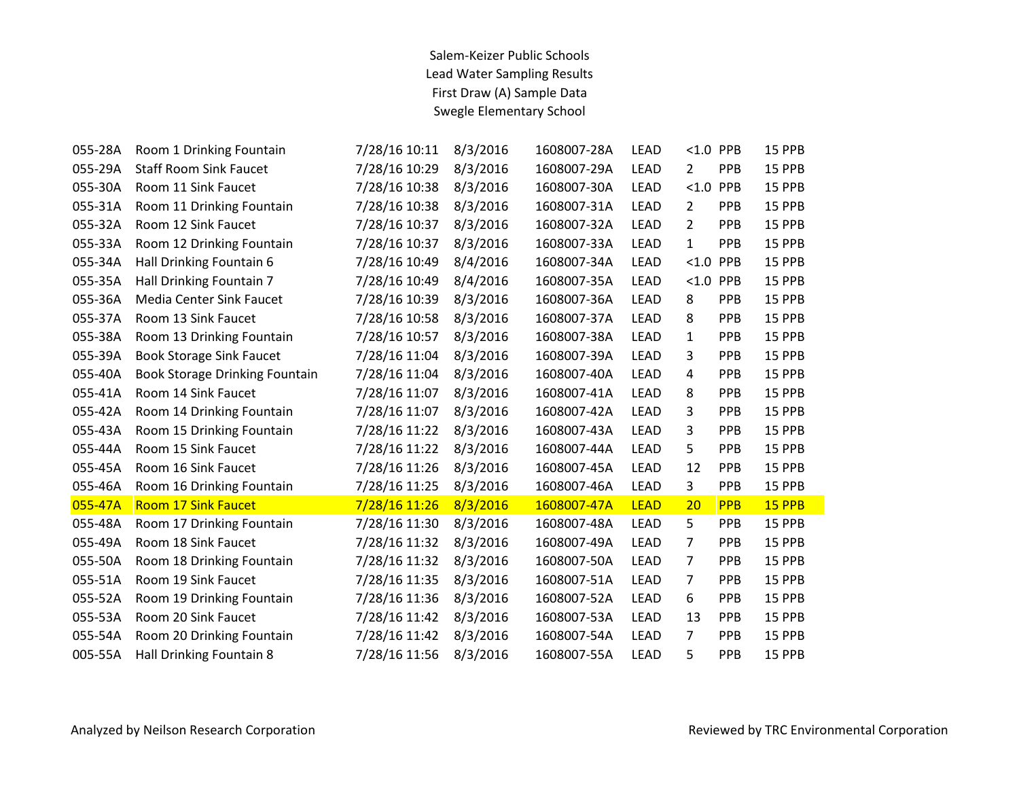## Salem-Keizer Public Schools Lead Water Sampling Results First Draw (A) Sample Data Swegle Elementary School

| Room 1 Drinking Fountain        | 7/28/16 10:11 | 8/3/2016 | 1608007-28A | LEAD        | < 1.0          | PPB        | 15 PPB        |
|---------------------------------|---------------|----------|-------------|-------------|----------------|------------|---------------|
| <b>Staff Room Sink Faucet</b>   | 7/28/16 10:29 | 8/3/2016 | 1608007-29A | LEAD        | 2              | PPB        | <b>15 PPB</b> |
| Room 11 Sink Faucet             | 7/28/16 10:38 | 8/3/2016 | 1608007-30A | <b>LEAD</b> |                | <b>PPB</b> | <b>15 PPB</b> |
| Room 11 Drinking Fountain       | 7/28/16 10:38 | 8/3/2016 | 1608007-31A | LEAD        | $\overline{2}$ | PPB        | 15 PPB        |
| Room 12 Sink Faucet             | 7/28/16 10:37 | 8/3/2016 | 1608007-32A | LEAD        | 2              | PPB        | 15 PPB        |
| Room 12 Drinking Fountain       | 7/28/16 10:37 | 8/3/2016 | 1608007-33A | LEAD        | 1              | PPB        | 15 PPB        |
| Hall Drinking Fountain 6        | 7/28/16 10:49 | 8/4/2016 | 1608007-34A | <b>LEAD</b> | < 1.0          | PPB        | 15 PPB        |
| Hall Drinking Fountain 7        | 7/28/16 10:49 | 8/4/2016 | 1608007-35A | LEAD        | < 1.0          | PPB        | 15 PPB        |
| <b>Media Center Sink Faucet</b> | 7/28/16 10:39 | 8/3/2016 | 1608007-36A | LEAD        | 8              | PPB        | 15 PPB        |
| Room 13 Sink Faucet             | 7/28/16 10:58 | 8/3/2016 | 1608007-37A | <b>LEAD</b> | 8              | PPB        | 15 PPB        |
| Room 13 Drinking Fountain       | 7/28/16 10:57 | 8/3/2016 | 1608007-38A | <b>LEAD</b> | $\mathbf{1}$   | <b>PPB</b> | 15 PPB        |
| <b>Book Storage Sink Faucet</b> | 7/28/16 11:04 | 8/3/2016 | 1608007-39A | LEAD        | 3              | <b>PPB</b> | 15 PPB        |
| Book Storage Drinking Fountain  | 7/28/16 11:04 | 8/3/2016 | 1608007-40A | LEAD        | 4              | PPB        | <b>15 PPB</b> |
| Room 14 Sink Faucet             | 7/28/16 11:07 | 8/3/2016 | 1608007-41A | LEAD        | 8              | <b>PPB</b> | 15 PPB        |
| Room 14 Drinking Fountain       | 7/28/16 11:07 | 8/3/2016 | 1608007-42A | <b>LEAD</b> | 3              | <b>PPB</b> | 15 PPB        |
| Room 15 Drinking Fountain       | 7/28/16 11:22 | 8/3/2016 | 1608007-43A | <b>LEAD</b> | 3              | PPB        | 15 PPB        |
| Room 15 Sink Faucet             | 7/28/16 11:22 | 8/3/2016 | 1608007-44A | LEAD        | 5              | PPB        | <b>15 PPB</b> |
| Room 16 Sink Faucet             | 7/28/16 11:26 | 8/3/2016 | 1608007-45A | <b>LEAD</b> | 12             | <b>PPB</b> | 15 PPB        |
| Room 16 Drinking Fountain       | 7/28/16 11:25 | 8/3/2016 | 1608007-46A | <b>LEAD</b> | 3              | PPB        | 15 PPB        |
| <b>Room 17 Sink Faucet</b>      | 7/28/16 11:26 | 8/3/2016 | 1608007-47A | <b>LEAD</b> | 20             | PPB        | 15 PPB        |
| Room 17 Drinking Fountain       | 7/28/16 11:30 | 8/3/2016 | 1608007-48A | LEAD        | 5              | PPB        | 15 PPB        |
| Room 18 Sink Faucet             | 7/28/16 11:32 | 8/3/2016 | 1608007-49A | LEAD        | 7              | <b>PPB</b> | 15 PPB        |
| Room 18 Drinking Fountain       | 7/28/16 11:32 | 8/3/2016 | 1608007-50A | LEAD        | 7              | PPB        | 15 PPB        |
| Room 19 Sink Faucet             | 7/28/16 11:35 | 8/3/2016 | 1608007-51A | <b>LEAD</b> | 7              | PPB        | 15 PPB        |
| Room 19 Drinking Fountain       | 7/28/16 11:36 | 8/3/2016 | 1608007-52A | <b>LEAD</b> | 6              | PPB        | 15 PPB        |
| Room 20 Sink Faucet             | 7/28/16 11:42 | 8/3/2016 | 1608007-53A | LEAD        | 13             | <b>PPB</b> | 15 PPB        |
| Room 20 Drinking Fountain       | 7/28/16 11:42 | 8/3/2016 | 1608007-54A | <b>LEAD</b> | $\overline{7}$ | PPB        | 15 PPB        |
| Hall Drinking Fountain 8        | 7/28/16 11:56 | 8/3/2016 | 1608007-55A | <b>LEAD</b> | 5              | PPB        | 15 PPB        |
|                                 |               |          |             |             |                |            | < 1.0         |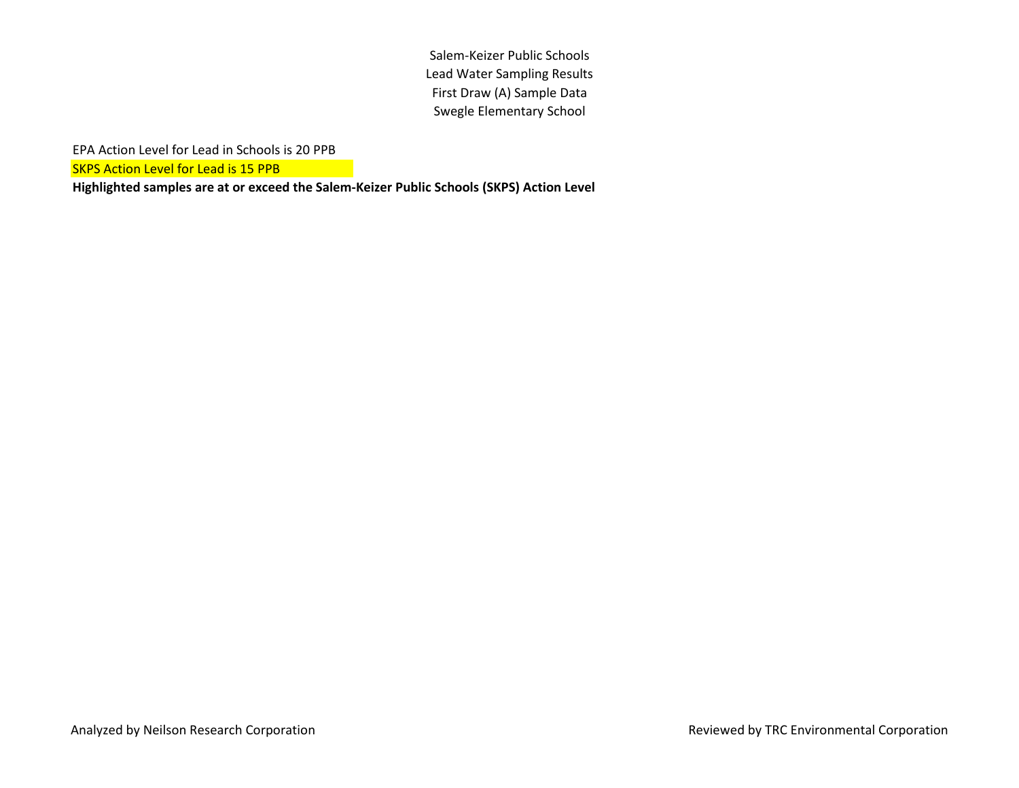Salem-Keizer Public Schools Lead Water Sampling Results First Draw (A) Sample Data Swegle Elementary School

EPA Action Level for Lead in Schools is 20 PPB

**SKPS Action Level for Lead is 15 PPB**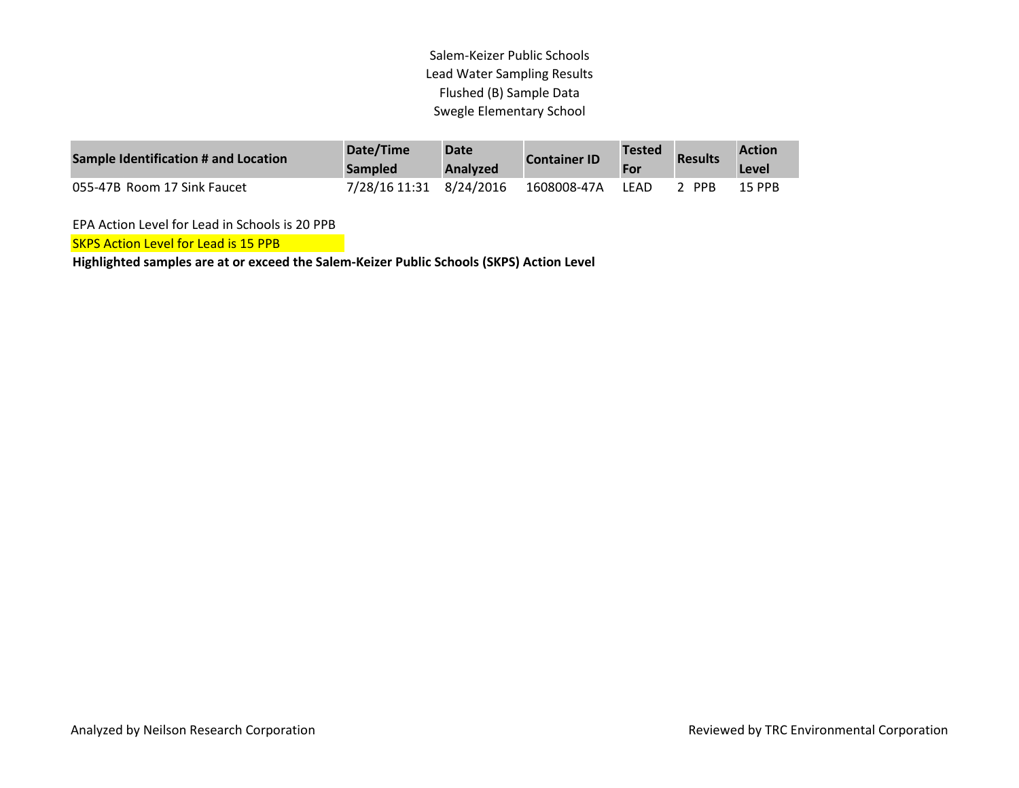## Salem-Keizer Public Schools Lead Water Sampling Results Flushed (B) Sample Data Swegle Elementary School

| Sample Identification # and Location | Date/Time<br><b>Sampled</b> | <b>Date</b><br><b>Analyzed</b> | <b>Container ID</b> | <b>Tested</b><br>For | <b>Results</b> | <b>Action</b><br>Level |
|--------------------------------------|-----------------------------|--------------------------------|---------------------|----------------------|----------------|------------------------|
| 055-47B Room 17 Sink Faucet          | 7/28/16 11:31 8/24/2016     |                                | 1608008-47A         | LFAD                 | <b>PPR</b>     | 15 PPB                 |

EPA Action Level for Lead in Schools is 20 PPB

**SKPS Action Level for Lead is 15 PPB**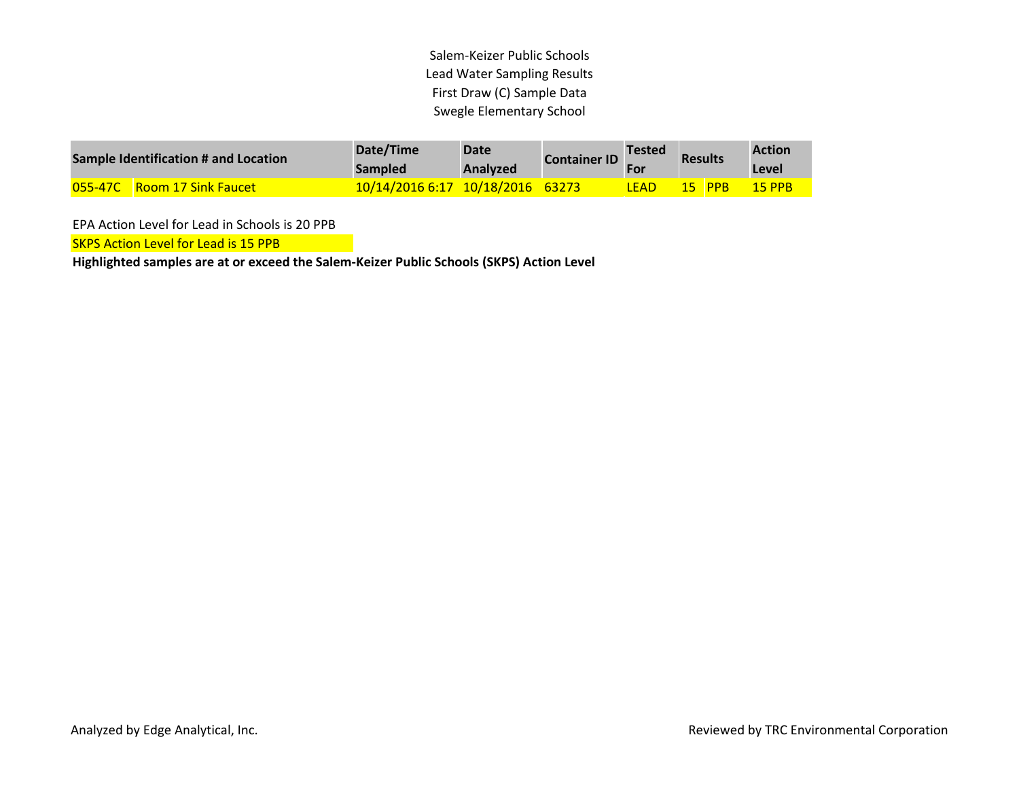Salem-Keizer Public Schools Lead Water Sampling Results First Draw (C) Sample Data Swegle Elementary School

| Sample Identification # and Location | Date/Time<br><b>Sampled</b>      | <b>Date</b><br><b>Analyzed</b> | <b>Container ID</b> | <b>Tested</b> | <b>Results</b> |               | <b>Action</b><br>Level |
|--------------------------------------|----------------------------------|--------------------------------|---------------------|---------------|----------------|---------------|------------------------|
| <b>055-47C</b> Room 17 Sink Faucet   | 10/14/2016 6:17 10/18/2016 63273 |                                |                     | LEAD          |                | <b>15 PPB</b> | <b>15 PPB</b>          |

EPA Action Level for Lead in Schools is 20 PPB

**SKPS Action Level for Lead is 15 PPB**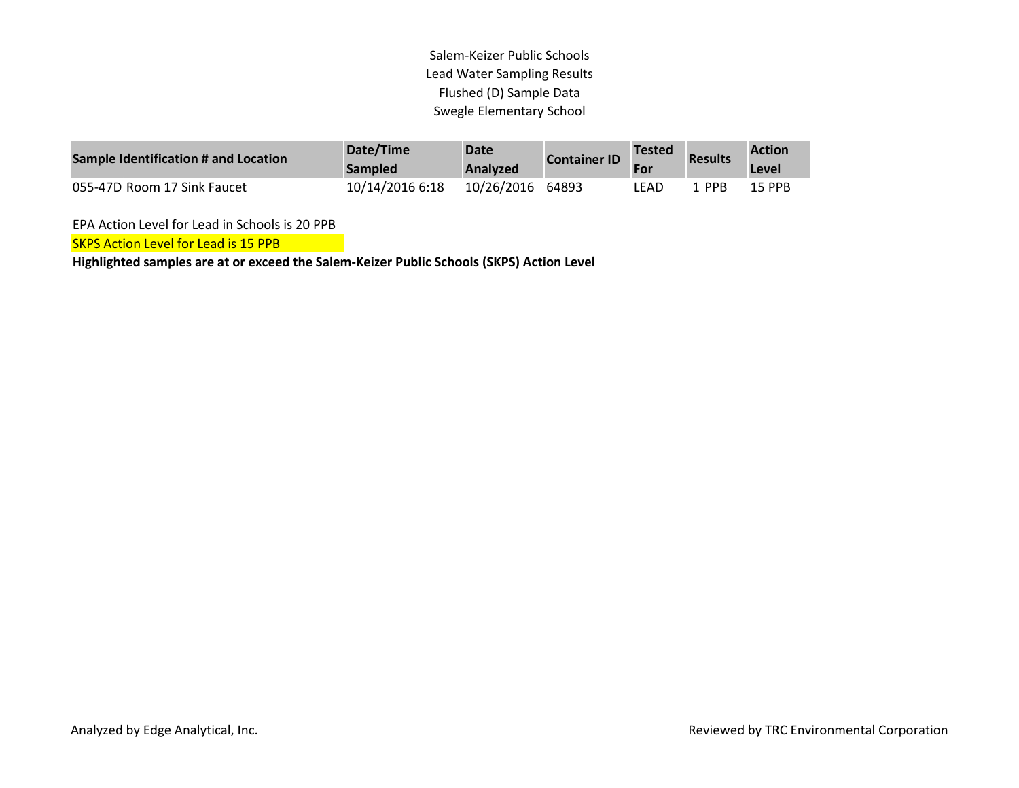## Salem-Keizer Public Schools Lead Water Sampling Results Flushed (D) Sample Data Swegle Elementary School

| Sample Identification # and Location | Date/Time<br><b>Sampled</b> | Date<br><b>Analyzed</b> | <b>Container ID</b> | Tested<br>For | <b>Results</b> | <b>Action</b><br>Level |
|--------------------------------------|-----------------------------|-------------------------|---------------------|---------------|----------------|------------------------|
| 055-47D Room 17 Sink Faucet          | 10/14/2016 6:18             | 10/26/2016 64893        |                     | LEAD          | 1 PPB          | 15 PPB                 |

EPA Action Level for Lead in Schools is 20 PPB

**SKPS Action Level for Lead is 15 PPB**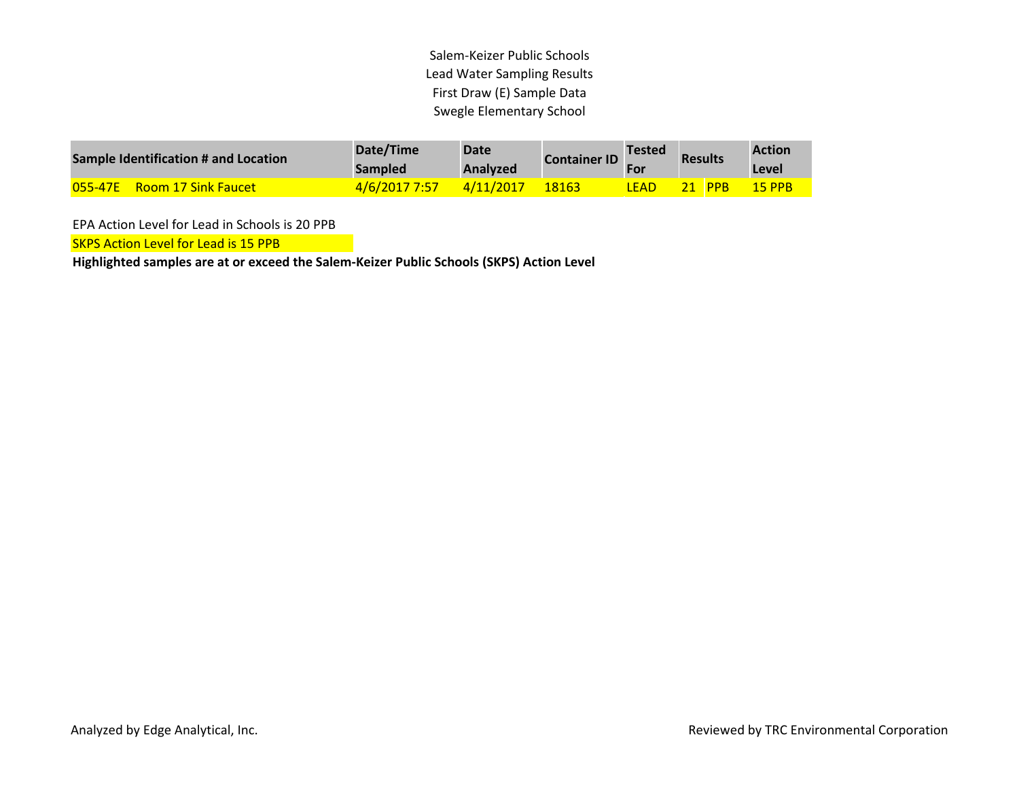Salem-Keizer Public Schools Lead Water Sampling Results First Draw (E) Sample Data Swegle Elementary School

| Sample Identification # and Location  | Date/Time<br><b>Sampled</b> | <b>Date</b><br><b>Analyzed</b> | <b>Container ID</b> | <b>Tested</b> | <b>Results</b> |            | <b>Action</b><br>Level |
|---------------------------------------|-----------------------------|--------------------------------|---------------------|---------------|----------------|------------|------------------------|
| 055-47E<br><b>Room 17 Sink Faucet</b> | 4/6/2017 7:57               | 4/11/2017                      | 18163               | <b>LEAD</b>   |                | <b>PPB</b> | 15 PPB                 |

EPA Action Level for Lead in Schools is 20 PPB

**SKPS Action Level for Lead is 15 PPB**